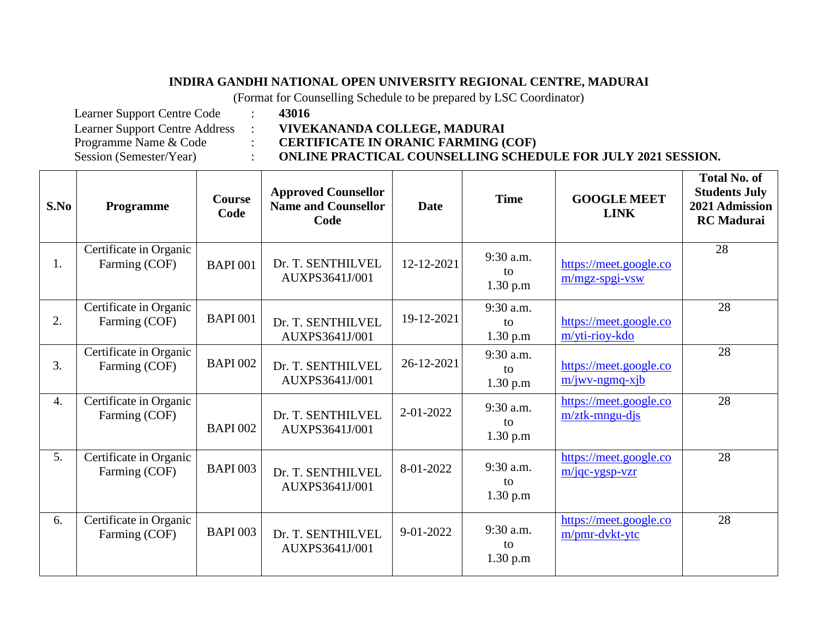## **INDIRA GANDHI NATIONAL OPEN UNIVERSITY REGIONAL CENTRE, MADURAI**

(Format for Counselling Schedule to be prepared by LSC Coordinator)

Learner Support Centre Code : **43016**

Learner Support Centre Address : **VIVEKANANDA COLLEGE, MADURAI**

Programme Name & Code : **CERTIFICATE IN ORANIC FARMING (COF)**

Session (Semester/Year) : **ONLINE PRACTICAL COUNSELLING SCHEDULE FOR JULY 2021 SESSION.**

AUXPS3641J/001

**S.No Programme Course Code Approved Counsellor Name and Counsellor Code Date Time GOOGLE MEET LINK Total No. of Students July 2021 Admission RC Madurai**  1. Certificate in Organic Farming (COF) | BAPI 001 | Dr. T. SENTHILVEL AUXPS3641J/001  $12-12-2021$  9:30 a.m. to 1.30 p.m [https://meet.google.co](https://meet.google.com/mgz-spgi-vsw) [m/mgz-spgi-vsw](https://meet.google.com/mgz-spgi-vsw) 28 2. Certificate in Organic Farming  $(COF)$  BAPI 001 Dr. T. SENTHILVEL AUXPS3641J/001 19-12-2021  $9:30$  a.m. to 1.30 p.m [https://meet.google.co](https://meet.google.com/yti-rioy-kdo) [m/yti-rioy-kdo](https://meet.google.com/yti-rioy-kdo) 28 3. Certificate in Organic Farming  $(COF)$  BAPI 002 Dr. T. SENTHILVEL AUXPS3641J/001 26-12-2021 9:30 a.m. to 1.30 p.m [https://meet.google.co](https://meet.google.com/jwv-ngmq-xjb) [m/jwv-ngmq-xjb](https://meet.google.com/jwv-ngmq-xjb) 28 4. Certificate in Organic Farming (COF) BAPI 002 Dr. T. SENTHILVEL AUXPS3641J/001  $2-01-2022$  9:30 a.m. to 1.30 p.m [https://meet.google.co](https://meet.google.com/ztk-mngu-djs) [m/ztk-mngu-djs](https://meet.google.com/ztk-mngu-djs) 28 5. Certificate in Organic Farming  $(COF)$  BAPI 003 Dr. T. SENTHILVEL AUXPS3641J/001  $8-01-2022$  9:30 a.m. to 1.30 p.m [https://meet.google.co](https://meet.google.com/jqc-ygsp-vzr) [m/jqc-ygsp-vzr](https://meet.google.com/jqc-ygsp-vzr) 28 6. Certificate in Organic Farming  $(COF)$  BAPI 003 Dr. T. SENTHILVEL  $9-01-2022$  9:30 a.m. [https://meet.google.co](https://meet.google.com/pmr-dvkt-ytc) [m/pmr-dvkt-ytc](https://meet.google.com/pmr-dvkt-ytc) 28

 $t_0$ 1.30 p.m